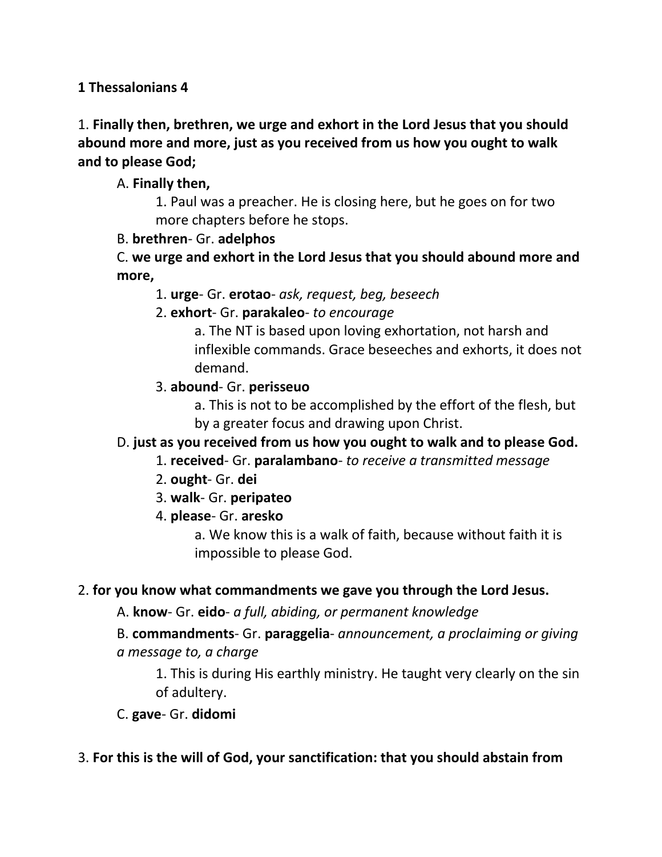### **1 Thessalonians 4**

1. **Finally then, brethren, we urge and exhort in the Lord Jesus that you should abound more and more, just as you received from us how you ought to walk and to please God;** 

## A. **Finally then,**

1. Paul was a preacher. He is closing here, but he goes on for two more chapters before he stops.

### B. **brethren**- Gr. **adelphos**

C. **we urge and exhort in the Lord Jesus that you should abound more and more,**

1. **urge**- Gr. **erotao**- *ask, request, beg, beseech*

2. **exhort**- Gr. **parakaleo**- *to encourage*

a. The NT is based upon loving exhortation, not harsh and inflexible commands. Grace beseeches and exhorts, it does not demand.

#### 3. **abound**- Gr. **perisseuo**

a. This is not to be accomplished by the effort of the flesh, but by a greater focus and drawing upon Christ.

## D. **just as you received from us how you ought to walk and to please God.**

- 1. **received** Gr. **paralambano** *to receive a transmitted message*
- 2. **ought** Gr. **dei**
- 3. **walk** Gr. **peripateo**
- 4. **please** Gr. **aresko**

a. We know this is a walk of faith, because without faith it is impossible to please God.

#### 2. **for you know what commandments we gave you through the Lord Jesus.**

A. **know**- Gr. **eido**- *a full, abiding, or permanent knowledge*

B. **commandments**- Gr. **paraggelia**- *announcement, a proclaiming or giving a message to, a charge*

1. This is during His earthly ministry. He taught very clearly on the sin of adultery.

C. **gave**- Gr. **didomi**

## 3. **For this is the will of God, your sanctification: that you should abstain from**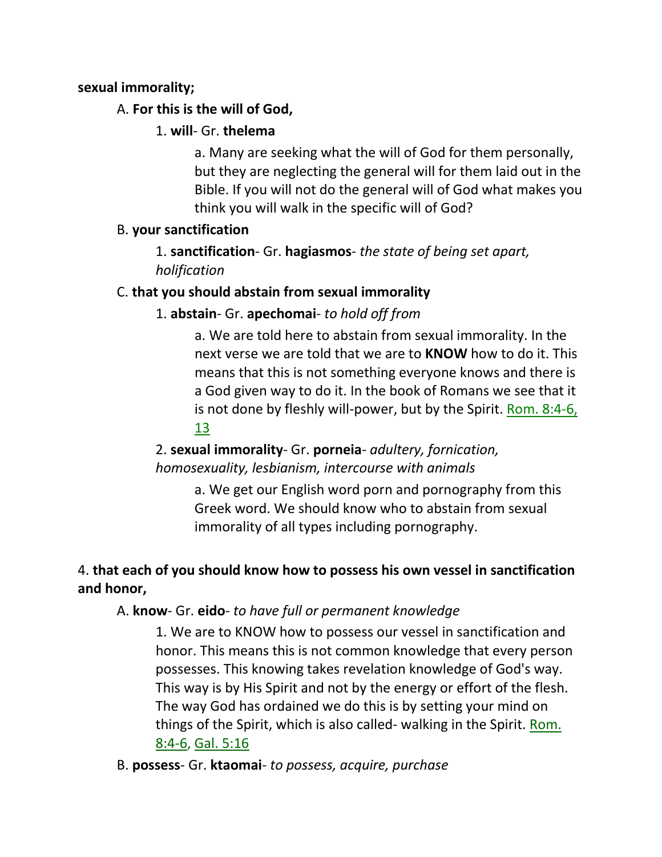#### **sexual immorality;**

#### A. **For this is the will of God,**

### 1. **will**- Gr. **thelema**

a. Many are seeking what the will of God for them personally, but they are neglecting the general will for them laid out in the Bible. If you will not do the general will of God what makes you think you will walk in the specific will of God?

#### B. **your sanctification**

1. **sanctification**- Gr. **hagiasmos**- *the state of being set apart, holification*

#### C. **that you should abstain from sexual immorality**

### 1. **abstain**- Gr. **apechomai**- *to hold off from*

a. We are told here to abstain from sexual immorality. In the next verse we are told that we are to **KNOW** how to do it. This means that this is not something everyone knows and there is a God given way to do it. In the book of Romans we see that it is not done by fleshly will-power, but by the Spirit. Rom. 8:4-6, 13

2. **sexual immorality**- Gr. **porneia**- *adultery, fornication, homosexuality, lesbianism, intercourse with animals*

> a. We get our English word porn and pornography from this Greek word. We should know who to abstain from sexual immorality of all types including pornography.

## 4. **that each of you should know how to possess his own vessel in sanctification and honor,**

#### A. **know**- Gr. **eido**- *to have full or permanent knowledge*

1. We are to KNOW how to possess our vessel in sanctification and honor. This means this is not common knowledge that every person possesses. This knowing takes revelation knowledge of God's way. This way is by His Spirit and not by the energy or effort of the flesh. The way God has ordained we do this is by setting your mind on things of the Spirit, which is also called- walking in the Spirit. Rom. 8:4-6, Gal. 5:16

B. **possess**- Gr. **ktaomai**- *to possess, acquire, purchase*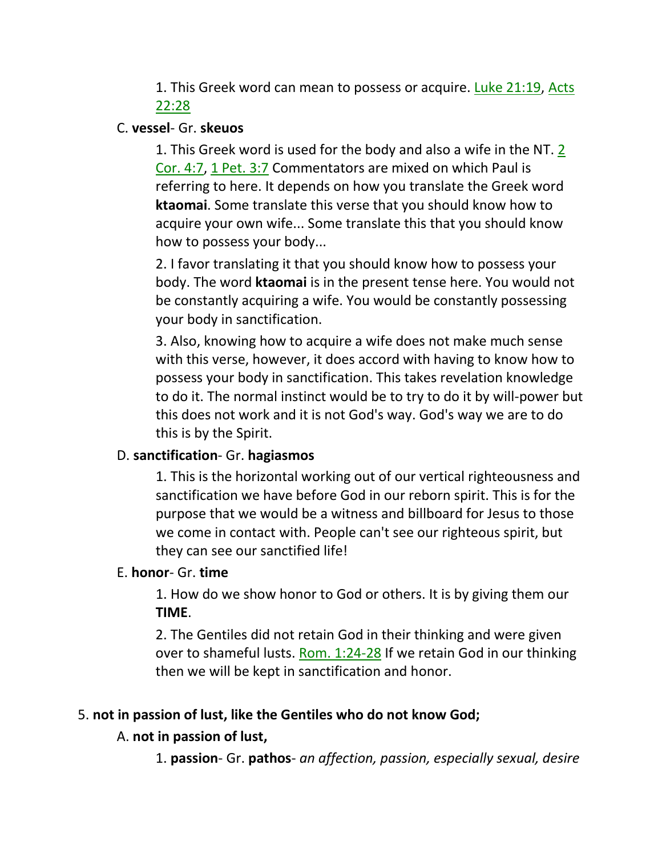1. This Greek word can mean to possess or acquire. Luke 21:19, Acts 22:28

#### C. **vessel**- Gr. **skeuos**

1. This Greek word is used for the body and also a wife in the NT. 2 Cor. 4:7, 1 Pet. 3:7 Commentators are mixed on which Paul is referring to here. It depends on how you translate the Greek word **ktaomai**. Some translate this verse that you should know how to acquire your own wife... Some translate this that you should know how to possess your body...

2. I favor translating it that you should know how to possess your body. The word **ktaomai** is in the present tense here. You would not be constantly acquiring a wife. You would be constantly possessing your body in sanctification.

3. Also, knowing how to acquire a wife does not make much sense with this verse, however, it does accord with having to know how to possess your body in sanctification. This takes revelation knowledge to do it. The normal instinct would be to try to do it by will-power but this does not work and it is not God's way. God's way we are to do this is by the Spirit.

#### D. **sanctification**- Gr. **hagiasmos**

1. This is the horizontal working out of our vertical righteousness and sanctification we have before God in our reborn spirit. This is for the purpose that we would be a witness and billboard for Jesus to those we come in contact with. People can't see our righteous spirit, but they can see our sanctified life!

#### E. **honor**- Gr. **time**

1. How do we show honor to God or others. It is by giving them our **TIME**.

2. The Gentiles did not retain God in their thinking and were given over to shameful lusts. Rom. 1:24-28 If we retain God in our thinking then we will be kept in sanctification and honor.

#### 5. **not in passion of lust, like the Gentiles who do not know God;**

#### A. **not in passion of lust,**

1. **passion**- Gr. **pathos**- *an affection, passion, especially sexual, desire*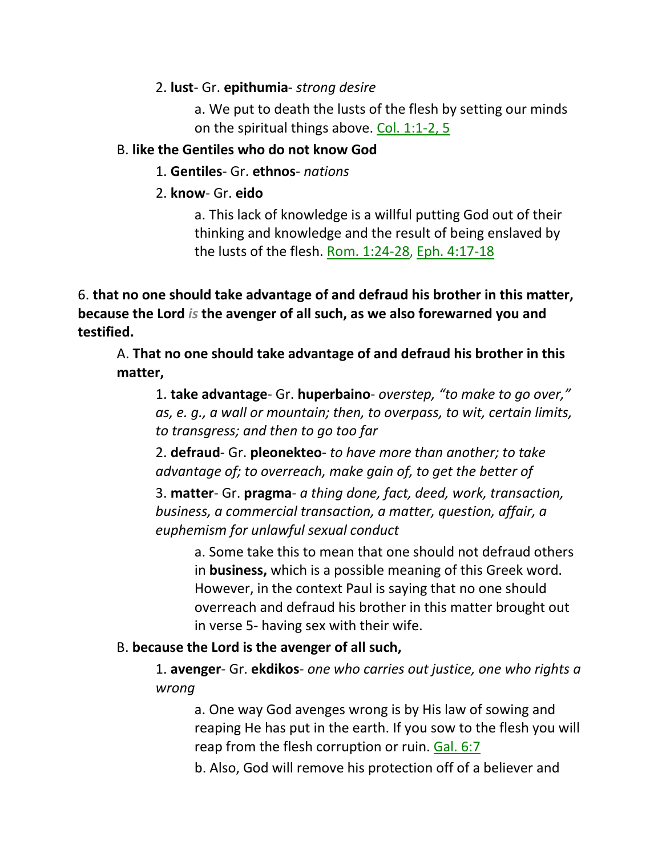#### 2. **lust**- Gr. **epithumia**- *strong desire*

a. We put to death the lusts of the flesh by setting our minds on the spiritual things above. Col. 1:1-2, 5

### B. **like the Gentiles who do not know God**

### 1. **Gentiles**- Gr. **ethnos**- *nations*

## 2. **know**- Gr. **eido**

a. This lack of knowledge is a willful putting God out of their thinking and knowledge and the result of being enslaved by the lusts of the flesh. Rom. 1:24-28, Eph. 4:17-18

6. **that no one should take advantage of and defraud his brother in this matter, because the Lord** *is* **the avenger of all such, as we also forewarned you and testified.** 

A. **That no one should take advantage of and defraud his brother in this matter,**

1. **take advantage**- Gr. **huperbaino**- *overstep, "to make to go over," as, e. g., a wall or mountain; then, to overpass, to wit, certain limits, to transgress; and then to go too far*

2. **defraud**- Gr. **pleonekteo**- *to have more than another; to take advantage of; to overreach, make gain of, to get the better of* 3. **matter**- Gr. **pragma**- *a thing done, fact, deed, work, transaction, business, a commercial transaction, a matter, question, affair, a euphemism for unlawful sexual conduct*

a. Some take this to mean that one should not defraud others in **business,** which is a possible meaning of this Greek word. However, in the context Paul is saying that no one should overreach and defraud his brother in this matter brought out in verse 5- having sex with their wife.

## B. **because the Lord is the avenger of all such,**

1. **avenger**- Gr. **ekdikos**- *one who carries out justice, one who rights a wrong*

a. One way God avenges wrong is by His law of sowing and reaping He has put in the earth. If you sow to the flesh you will reap from the flesh corruption or ruin. Gal. 6:7

b. Also, God will remove his protection off of a believer and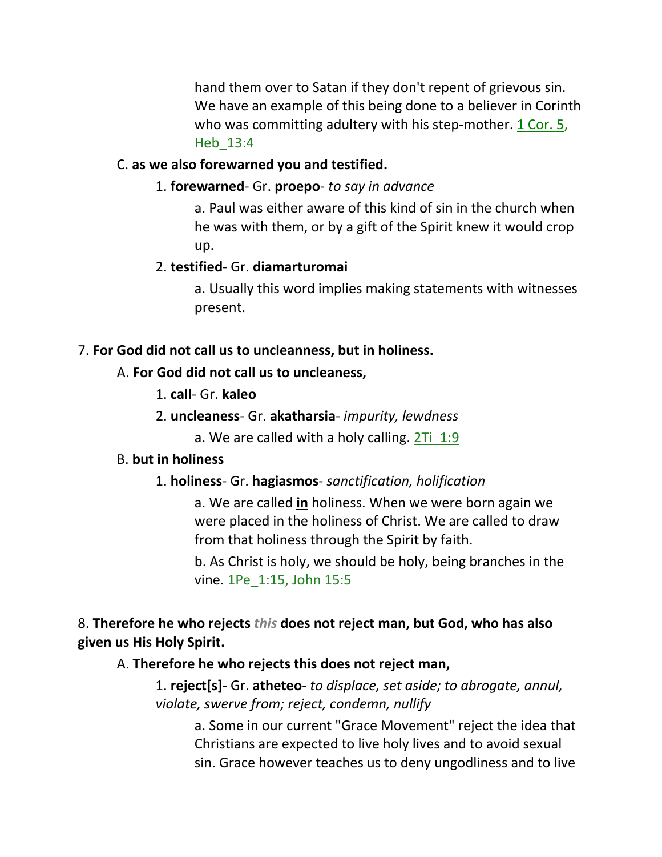hand them over to Satan if they don't repent of grievous sin. We have an example of this being done to a believer in Corinth who was committing adultery with his step-mother. 1 Cor. 5, Heb\_13:4

### C. **as we also forewarned you and testified.**

### 1. **forewarned**- Gr. **proepo**- *to say in advance*

a. Paul was either aware of this kind of sin in the church when he was with them, or by a gift of the Spirit knew it would crop up.

#### 2. **testified**- Gr. **diamarturomai**

a. Usually this word implies making statements with witnesses present.

### 7. **For God did not call us to uncleanness, but in holiness.**

### A. **For God did not call us to uncleaness,**

- 1. **call** Gr. **kaleo**
- 2. **uncleaness** Gr. **akatharsia** *impurity, lewdness*
	- a. We are called with a holy calling. 2Ti\_1:9

#### B. **but in holiness**

1. **holiness**- Gr. **hagiasmos**- *sanctification, holification*

a. We are called **in** holiness. When we were born again we were placed in the holiness of Christ. We are called to draw from that holiness through the Spirit by faith.

b. As Christ is holy, we should be holy, being branches in the vine. 1Pe 1:15, John 15:5

8. **Therefore he who rejects** *this* **does not reject man, but God, who has also given us His Holy Spirit.** 

## A. **Therefore he who rejects this does not reject man,**

1. **reject[s]**- Gr. **atheteo**- *to displace, set aside; to abrogate, annul, violate, swerve from; reject, condemn, nullify*

a. Some in our current "Grace Movement" reject the idea that Christians are expected to live holy lives and to avoid sexual sin. Grace however teaches us to deny ungodliness and to live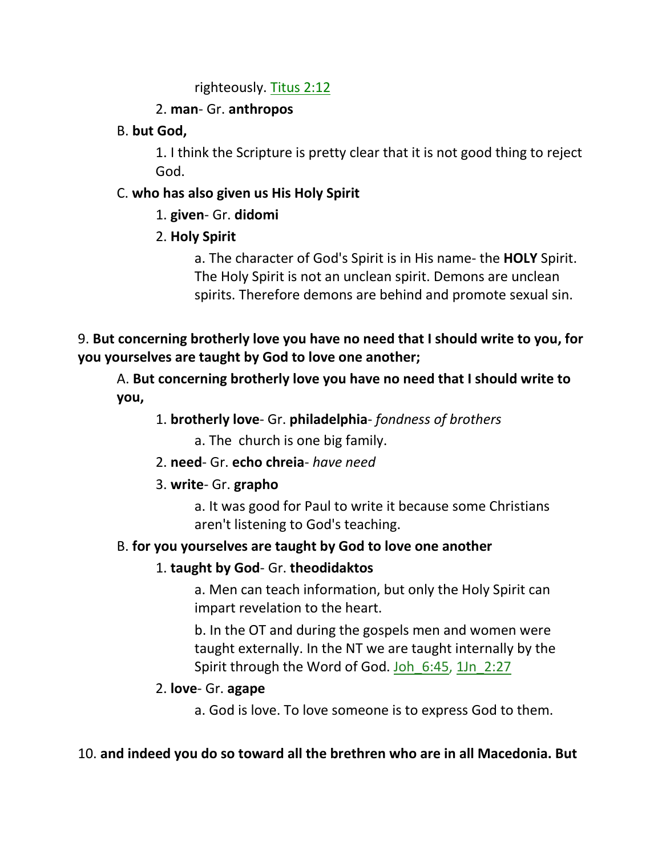### righteously. Titus 2:12

### 2. **man**- Gr. **anthropos**

B. **but God,**

1. I think the Scripture is pretty clear that it is not good thing to reject God.

## C. **who has also given us His Holy Spirit**

1. **given**- Gr. **didomi**

2. **Holy Spirit**

a. The character of God's Spirit is in His name- the **HOLY** Spirit. The Holy Spirit is not an unclean spirit. Demons are unclean spirits. Therefore demons are behind and promote sexual sin.

9. **But concerning brotherly love you have no need that I should write to you, for you yourselves are taught by God to love one another;** 

A. **But concerning brotherly love you have no need that I should write to you,**

- 1. **brotherly love** Gr. **philadelphia** *fondness of brothers*
	- a. The church is one big family.
- 2. **need** Gr. **echo chreia** *have need*

# 3. **write**- Gr. **grapho**

a. It was good for Paul to write it because some Christians aren't listening to God's teaching.

# B. **for you yourselves are taught by God to love one another**

# 1. **taught by God**- Gr. **theodidaktos**

a. Men can teach information, but only the Holy Spirit can impart revelation to the heart.

b. In the OT and during the gospels men and women were taught externally. In the NT we are taught internally by the Spirit through the Word of God. Joh 6:45, 1Jn 2:27

# 2. **love**- Gr. **agape**

a. God is love. To love someone is to express God to them.

# 10. **and indeed you do so toward all the brethren who are in all Macedonia. But**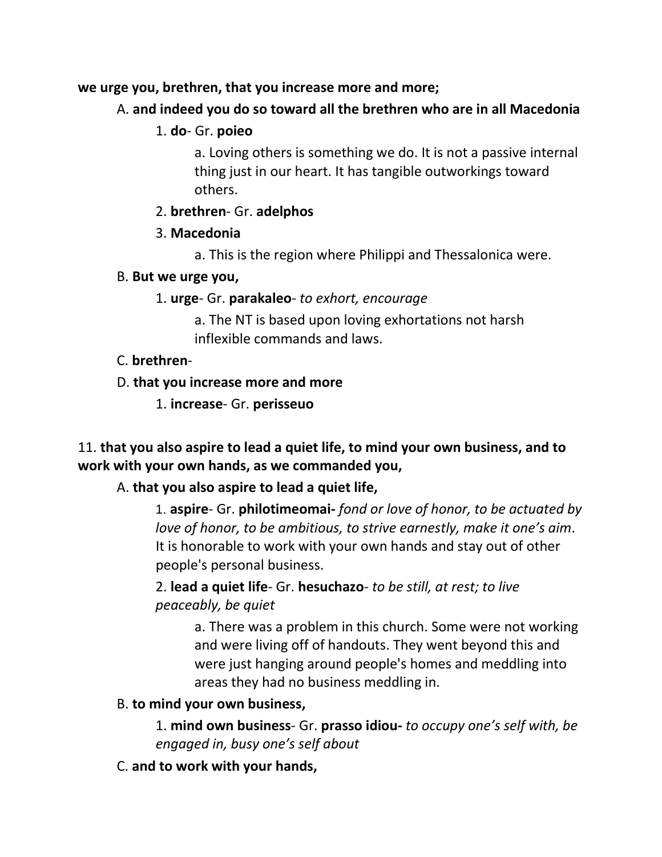### **we urge you, brethren, that you increase more and more;**

## A. **and indeed you do so toward all the brethren who are in all Macedonia**

1. **do**- Gr. **poieo**

a. Loving others is something we do. It is not a passive internal thing just in our heart. It has tangible outworkings toward others.

### 2. **brethren**- Gr. **adelphos**

### 3. **Macedonia**

a. This is the region where Philippi and Thessalonica were.

#### B. **But we urge you,**

1. **urge**- Gr. **parakaleo**- *to exhort, encourage*

a. The NT is based upon loving exhortations not harsh inflexible commands and laws.

## C. **brethren**-

### D. **that you increase more and more**

1. **increase**- Gr. **perisseuo**

## 11. **that you also aspire to lead a quiet life, to mind your own business, and to work with your own hands, as we commanded you,**

## A. **that you also aspire to lead a quiet life,**

1. **aspire**- Gr. **philotimeomai-** *fond or love of honor, to be actuated by love of honor, to be ambitious, to strive earnestly, make it one's aim*. It is honorable to work with your own hands and stay out of other people's personal business.

2. **lead a quiet life**- Gr. **hesuchazo**- *to be still, at rest; to live peaceably, be quiet*

> a. There was a problem in this church. Some were not working and were living off of handouts. They went beyond this and were just hanging around people's homes and meddling into areas they had no business meddling in.

## B. **to mind your own business,**

1. **mind own business**- Gr. **prasso idiou-** *to occupy one's self with, be engaged in, busy one's self about*

C. **and to work with your hands,**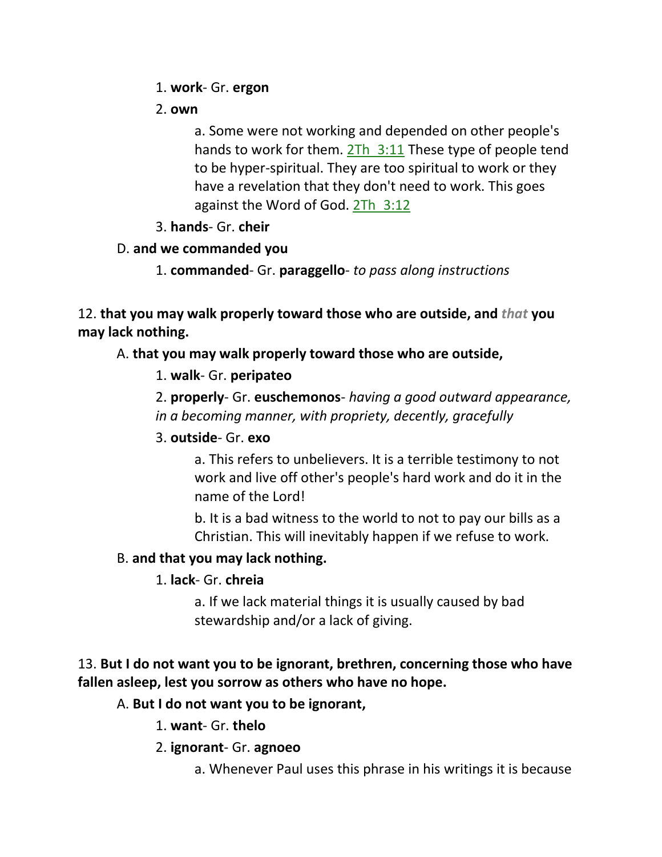### 1. **work**- Gr. **ergon**

### 2. **own**

a. Some were not working and depended on other people's hands to work for them. 2Th 3:11 These type of people tend to be hyper-spiritual. They are too spiritual to work or they have a revelation that they don't need to work. This goes against the Word of God. 2Th\_3:12

3. **hands**- Gr. **cheir**

# D. **and we commanded you**

1. **commanded**- Gr. **paraggello**- *to pass along instructions*

12. **that you may walk properly toward those who are outside, and** *that* **you may lack nothing.** 

# A. **that you may walk properly toward those who are outside,**

## 1. **walk**- Gr. **peripateo**

2. **properly**- Gr. **euschemonos**- *having a good outward appearance, in a becoming manner, with propriety, decently, gracefully*

# 3. **outside**- Gr. **exo**

a. This refers to unbelievers. It is a terrible testimony to not work and live off other's people's hard work and do it in the name of the Lord!

b. It is a bad witness to the world to not to pay our bills as a Christian. This will inevitably happen if we refuse to work.

# B. **and that you may lack nothing.**

1. **lack**- Gr. **chreia**

a. If we lack material things it is usually caused by bad stewardship and/or a lack of giving.

# 13. **But I do not want you to be ignorant, brethren, concerning those who have fallen asleep, lest you sorrow as others who have no hope.**

# A. **But I do not want you to be ignorant,**

- 1. **want** Gr. **thelo**
- 2. **ignorant** Gr. **agnoeo**
	- a. Whenever Paul uses this phrase in his writings it is because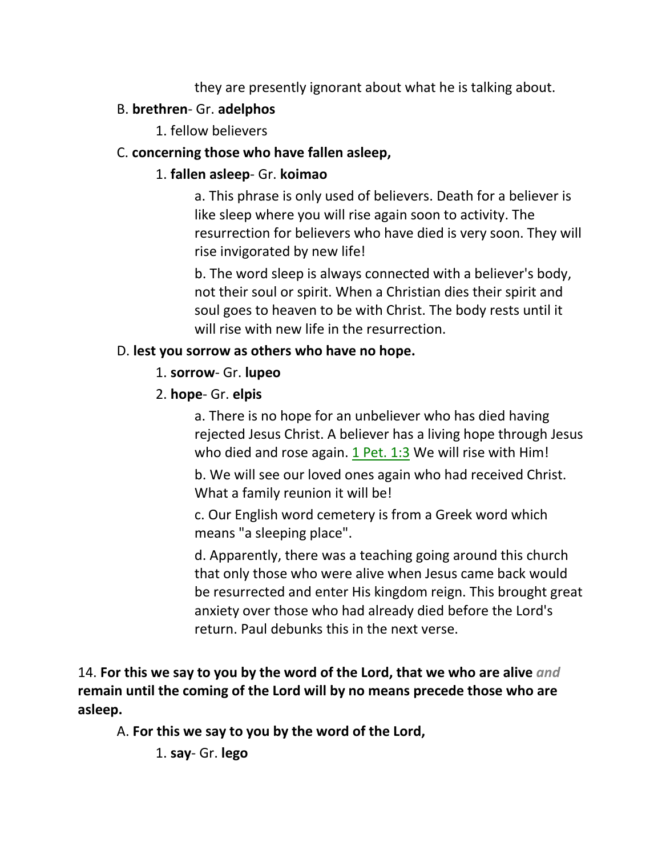they are presently ignorant about what he is talking about.

#### B. **brethren**- Gr. **adelphos**

1. fellow believers

#### C. **concerning those who have fallen asleep,**

### 1. **fallen asleep**- Gr. **koimao**

a. This phrase is only used of believers. Death for a believer is like sleep where you will rise again soon to activity. The resurrection for believers who have died is very soon. They will rise invigorated by new life!

b. The word sleep is always connected with a believer's body, not their soul or spirit. When a Christian dies their spirit and soul goes to heaven to be with Christ. The body rests until it will rise with new life in the resurrection.

### D. **lest you sorrow as others who have no hope.**

### 1. **sorrow**- Gr. **lupeo**

### 2. **hope**- Gr. **elpis**

a. There is no hope for an unbeliever who has died having rejected Jesus Christ. A believer has a living hope through Jesus who died and rose again. 1 Pet. 1:3 We will rise with Him!

b. We will see our loved ones again who had received Christ. What a family reunion it will be!

c. Our English word cemetery is from a Greek word which means "a sleeping place".

d. Apparently, there was a teaching going around this church that only those who were alive when Jesus came back would be resurrected and enter His kingdom reign. This brought great anxiety over those who had already died before the Lord's return. Paul debunks this in the next verse.

14. **For this we say to you by the word of the Lord, that we who are alive** *and* **remain until the coming of the Lord will by no means precede those who are asleep.** 

A. **For this we say to you by the word of the Lord,**

1. **say**- Gr. **lego**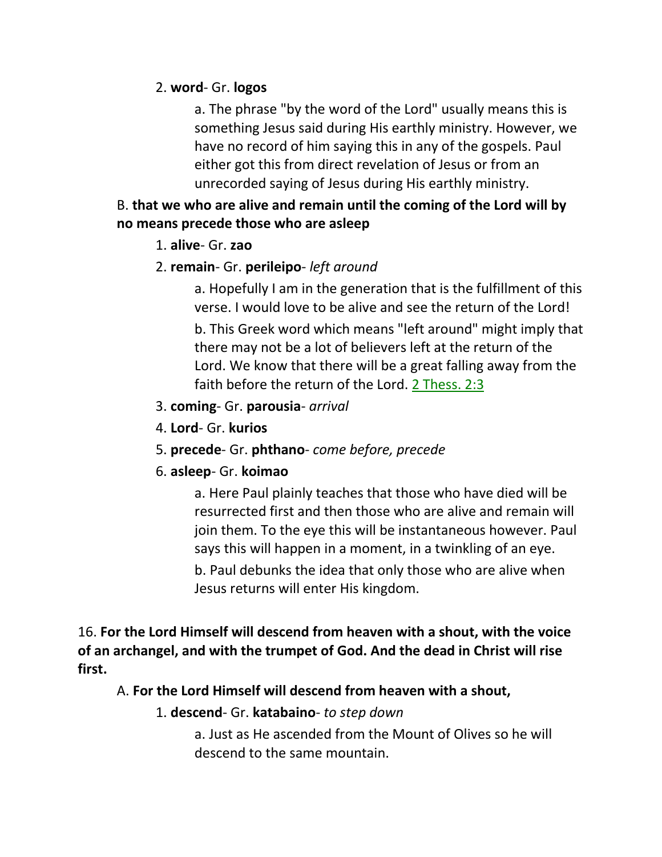### 2. **word**- Gr. **logos**

a. The phrase "by the word of the Lord" usually means this is something Jesus said during His earthly ministry. However, we have no record of him saying this in any of the gospels. Paul either got this from direct revelation of Jesus or from an unrecorded saying of Jesus during His earthly ministry.

## B. **that we who are alive and remain until the coming of the Lord will by no means precede those who are asleep**

- 1. **alive** Gr. **zao**
- 2. **remain** Gr. **perileipo** *left around*

a. Hopefully I am in the generation that is the fulfillment of this verse. I would love to be alive and see the return of the Lord!

b. This Greek word which means "left around" might imply that there may not be a lot of believers left at the return of the Lord. We know that there will be a great falling away from the faith before the return of the Lord. 2 Thess. 2:3

- 3. **coming** Gr. **parousia** *arrival*
- 4. **Lord** Gr. **kurios**
- 5. **precede** Gr. **phthano** *come before, precede*

## 6. **asleep**- Gr. **koimao**

a. Here Paul plainly teaches that those who have died will be resurrected first and then those who are alive and remain will join them. To the eye this will be instantaneous however. Paul says this will happen in a moment, in a twinkling of an eye.

b. Paul debunks the idea that only those who are alive when Jesus returns will enter His kingdom.

16. **For the Lord Himself will descend from heaven with a shout, with the voice of an archangel, and with the trumpet of God. And the dead in Christ will rise first.** 

A. **For the Lord Himself will descend from heaven with a shout,**

## 1. **descend**- Gr. **katabaino**- *to step down*

a. Just as He ascended from the Mount of Olives so he will descend to the same mountain.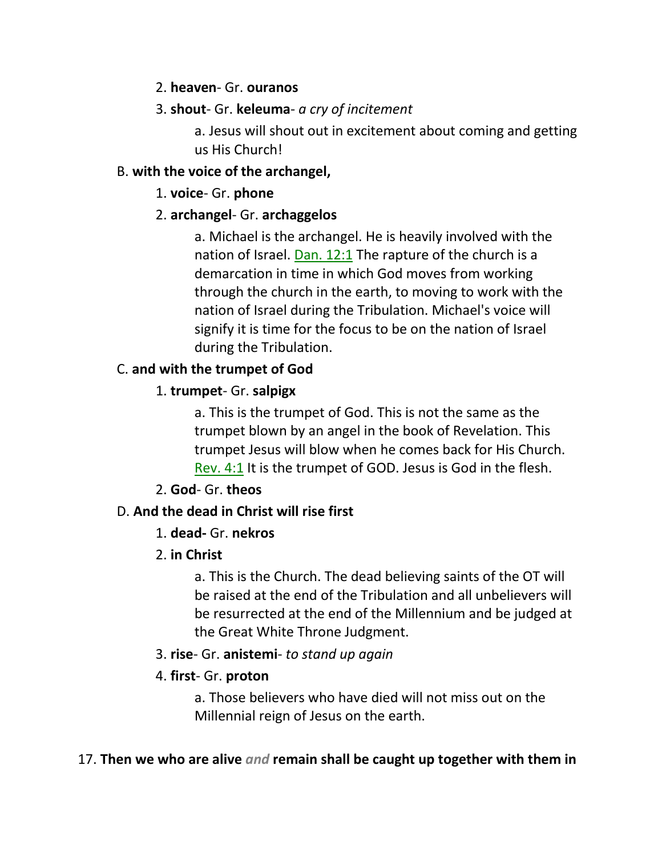#### 2. **heaven**- Gr. **ouranos**

#### 3. **shout**- Gr. **keleuma**- *a cry of incitement*

a. Jesus will shout out in excitement about coming and getting us His Church!

#### B. **with the voice of the archangel,**

#### 1. **voice**- Gr. **phone**

### 2. **archangel**- Gr. **archaggelos**

a. Michael is the archangel. He is heavily involved with the nation of Israel. Dan. 12:1 The rapture of the church is a demarcation in time in which God moves from working through the church in the earth, to moving to work with the nation of Israel during the Tribulation. Michael's voice will signify it is time for the focus to be on the nation of Israel during the Tribulation.

#### C. **and with the trumpet of God**

### 1. **trumpet**- Gr. **salpigx**

a. This is the trumpet of God. This is not the same as the trumpet blown by an angel in the book of Revelation. This trumpet Jesus will blow when he comes back for His Church. Rev. 4:1 It is the trumpet of GOD. Jesus is God in the flesh.

#### 2. **God**- Gr. **theos**

## D. **And the dead in Christ will rise first**

#### 1. **dead-** Gr. **nekros**

## 2. **in Christ**

a. This is the Church. The dead believing saints of the OT will be raised at the end of the Tribulation and all unbelievers will be resurrected at the end of the Millennium and be judged at the Great White Throne Judgment.

#### 3. **rise**- Gr. **anistemi**- *to stand up again*

#### 4. **first**- Gr. **proton**

a. Those believers who have died will not miss out on the Millennial reign of Jesus on the earth.

#### 17. **Then we who are alive** *and* **remain shall be caught up together with them in**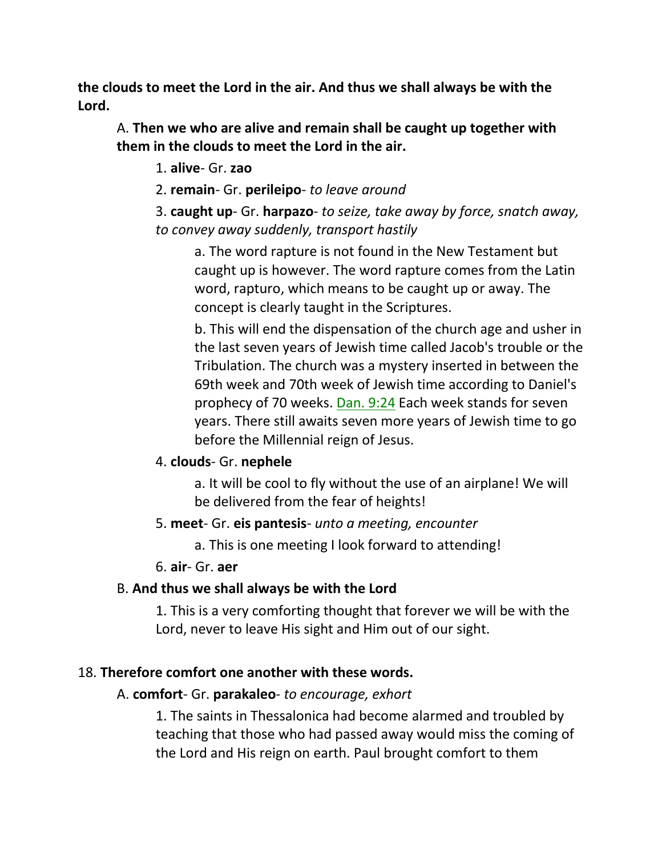**the clouds to meet the Lord in the air. And thus we shall always be with the Lord.** 

A. **Then we who are alive and remain shall be caught up together with them in the clouds to meet the Lord in the air.**

1. **alive**- Gr. **zao**

2. **remain**- Gr. **perileipo**- *to leave around*

3. **caught up**- Gr. **harpazo**- *to seize, take away by force, snatch away, to convey away suddenly, transport hastily*

a. The word rapture is not found in the New Testament but caught up is however. The word rapture comes from the Latin word, rapturo, which means to be caught up or away. The concept is clearly taught in the Scriptures.

b. This will end the dispensation of the church age and usher in the last seven years of Jewish time called Jacob's trouble or the Tribulation. The church was a mystery inserted in between the 69th week and 70th week of Jewish time according to Daniel's prophecy of 70 weeks. Dan. 9:24 Each week stands for seven years. There still awaits seven more years of Jewish time to go before the Millennial reign of Jesus.

#### 4. **clouds**- Gr. **nephele**

a. It will be cool to fly without the use of an airplane! We will be delivered from the fear of heights!

5. **meet**- Gr. **eis pantesis**- *unto a meeting, encounter*

a. This is one meeting I look forward to attending!

#### 6. **air**- Gr. **aer**

#### B. **And thus we shall always be with the Lord**

1. This is a very comforting thought that forever we will be with the Lord, never to leave His sight and Him out of our sight.

#### 18. **Therefore comfort one another with these words.**

#### A. **comfort**- Gr. **parakaleo**- *to encourage, exhort*

1. The saints in Thessalonica had become alarmed and troubled by teaching that those who had passed away would miss the coming of the Lord and His reign on earth. Paul brought comfort to them